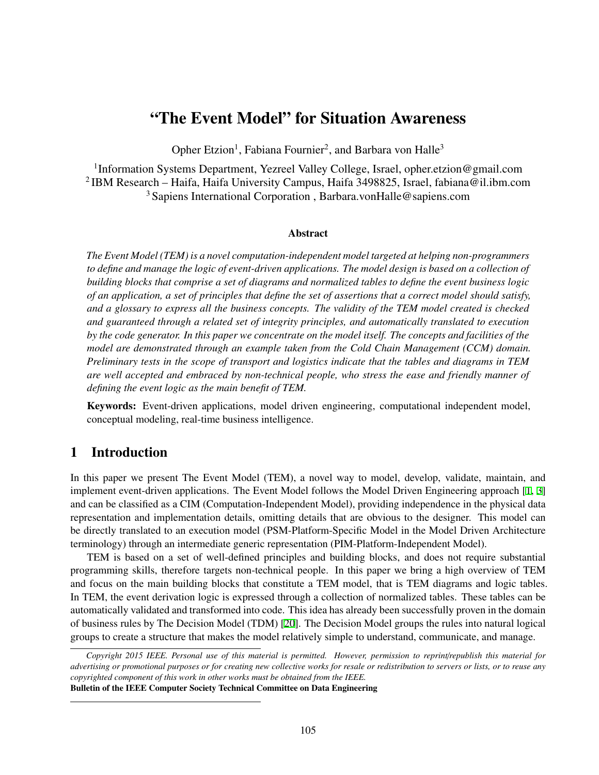# "The Event Model" for Situation Awareness

Opher Etzion<sup>1</sup>, Fabiana Fournier<sup>2</sup>, and Barbara von Halle<sup>3</sup>

<sup>1</sup>Information Systems Department, Yezreel Valley College, Israel, opher.etzion@gmail.com 2 IBM Research – Haifa, Haifa University Campus, Haifa 3498825, Israel, fabiana@il.ibm.com <sup>3</sup> Sapiens International Corporation , Barbara.vonHalle@sapiens.com

#### Abstract

*The Event Model (TEM) is a novel computation-independent model targeted at helping non-programmers to define and manage the logic of event-driven applications. The model design is based on a collection of building blocks that comprise a set of diagrams and normalized tables to define the event business logic of an application, a set of principles that define the set of assertions that a correct model should satisfy, and a glossary to express all the business concepts. The validity of the TEM model created is checked and guaranteed through a related set of integrity principles, and automatically translated to execution by the code generator. In this paper we concentrate on the model itself. The concepts and facilities of the model are demonstrated through an example taken from the Cold Chain Management (CCM) domain. Preliminary tests in the scope of transport and logistics indicate that the tables and diagrams in TEM are well accepted and embraced by non-technical people, who stress the ease and friendly manner of defining the event logic as the main benefit of TEM.*

Keywords: Event-driven applications, model driven engineering, computational independent model, conceptual modeling, real-time business intelligence.

## 1 Introduction

In this paper we present The Event Model (TEM), a novel way to model, develop, validate, maintain, and implement event-driven applications. The Event Model follows the Model Driven Engineering approach [[1](#page-9-0), [3](#page-9-1)] and can be classified as a CIM (Computation-Independent Model), providing independence in the physical data representation and implementation details, omitting details that are obvious to the designer. This model can be directly translated to an execution model (PSM-Platform-Specific Model in the Model Driven Architecture terminology) through an intermediate generic representation (PIM-Platform-Independent Model).

TEM is based on a set of well-defined principles and building blocks, and does not require substantial programming skills, therefore targets non-technical people. In this paper we bring a high overview of TEM and focus on the main building blocks that constitute a TEM model, that is TEM diagrams and logic tables. In TEM, the event derivation logic is expressed through a collection of normalized tables. These tables can be automatically validated and transformed into code. This idea has already been successfully proven in the domain of business rules by The Decision Model (TDM) [[20\]](#page-10-0). The Decision Model groups the rules into natural logical groups to create a structure that makes the model relatively simple to understand, communicate, and manage.

*Copyright 2015 IEEE. Personal use of this material is permitted. However, permission to reprint*/*republish this material for advertising or promotional purposes or for creating new collective works for resale or redistribution to servers or lists, or to reuse any copyrighted component of this work in other works must be obtained from the IEEE.*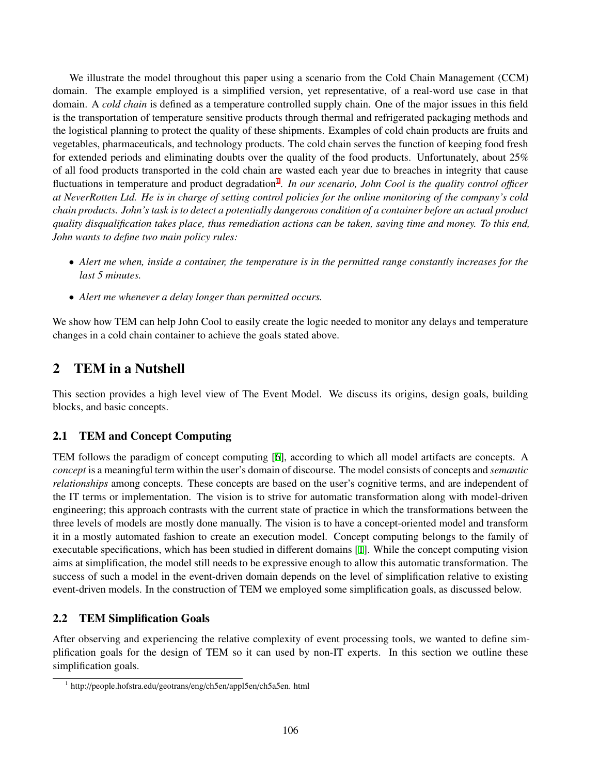We illustrate the model throughout this paper using a scenario from the Cold Chain Management (CCM) domain. The example employed is a simplified version, yet representative, of a real-word use case in that domain. A *cold chain* is defined as a temperature controlled supply chain. One of the major issues in this field is the transportation of temperature sensitive products through thermal and refrigerated packaging methods and the logistical planning to protect the quality of these shipments. Examples of cold chain products are fruits and vegetables, pharmaceuticals, and technology products. The cold chain serves the function of keeping food fresh for extended periods and eliminating doubts over the quality of the food products. Unfortunately, about 25% of all food products transported in the cold chain are wasted each year due to breaches in integrity that cause fluctuations in temperature and product degradation<sup>[1](#page-1-0)</sup>. In our scenario, John Cool is the quality control officer *at NeverRotten Ltd. He is in charge of setting control policies for the online monitoring of the company's cold chain products. John's task is to detect a potentially dangerous condition of a container before an actual product quality disqualification takes place, thus remediation actions can be taken, saving time and money. To this end, John wants to define two main policy rules:*

- *Alert me when, inside a container, the temperature is in the permitted range constantly increases for the last 5 minutes.*
- *Alert me whenever a delay longer than permitted occurs.*

We show how TEM can help John Cool to easily create the logic needed to monitor any delays and temperature changes in a cold chain container to achieve the goals stated above.

# 2 TEM in a Nutshell

This section provides a high level view of The Event Model. We discuss its origins, design goals, building blocks, and basic concepts.

## 2.1 TEM and Concept Computing

TEM follows the paradigm of concept computing [\[6\]](#page-10-1), according to which all model artifacts are concepts. A *concept* is a meaningful term within the user's domain of discourse. The model consists of concepts and *semantic relationships* among concepts. These concepts are based on the user's cognitive terms, and are independent of the IT terms or implementation. The vision is to strive for automatic transformation along with model-driven engineering; this approach contrasts with the current state of practice in which the transformations between the three levels of models are mostly done manually. The vision is to have a concept-oriented model and transform it in a mostly automated fashion to create an execution model. Concept computing belongs to the family of executable specifications, which has been studied in different domains [\[1\]](#page-9-0). While the concept computing vision aims at simplification, the model still needs to be expressive enough to allow this automatic transformation. The success of such a model in the event-driven domain depends on the level of simplification relative to existing event-driven models. In the construction of TEM we employed some simplification goals, as discussed below.

## 2.2 TEM Simplification Goals

After observing and experiencing the relative complexity of event processing tools, we wanted to define simplification goals for the design of TEM so it can used by non-IT experts. In this section we outline these simplification goals.

<span id="page-1-0"></span><sup>1</sup> http://people.hofstra.edu/geotrans/eng/ch5en/appl5en/ch5a5en. html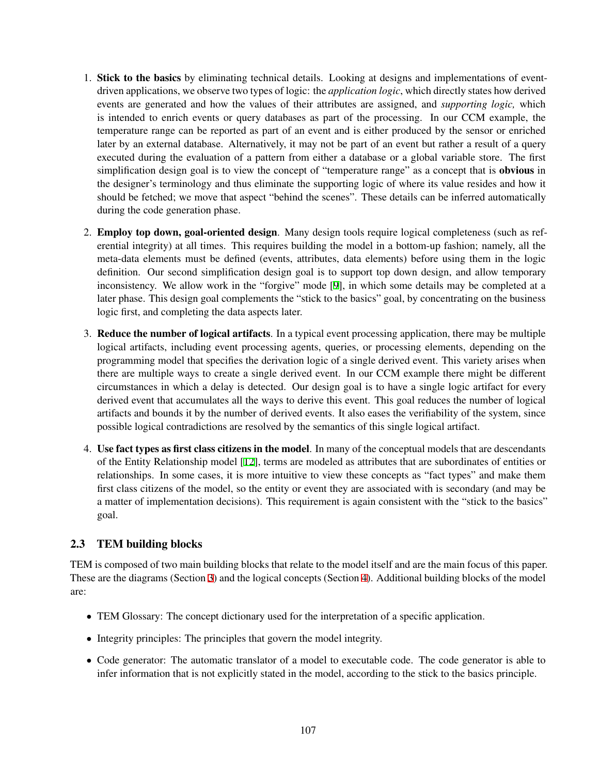- 1. Stick to the basics by eliminating technical details. Looking at designs and implementations of eventdriven applications, we observe two types of logic: the *application logic*, which directly states how derived events are generated and how the values of their attributes are assigned, and *supporting logic,* which is intended to enrich events or query databases as part of the processing. In our CCM example, the temperature range can be reported as part of an event and is either produced by the sensor or enriched later by an external database. Alternatively, it may not be part of an event but rather a result of a query executed during the evaluation of a pattern from either a database or a global variable store. The first simplification design goal is to view the concept of "temperature range" as a concept that is **obvious** in the designer's terminology and thus eliminate the supporting logic of where its value resides and how it should be fetched; we move that aspect "behind the scenes". These details can be inferred automatically during the code generation phase.
- 2. Employ top down, goal-oriented design. Many design tools require logical completeness (such as referential integrity) at all times. This requires building the model in a bottom-up fashion; namely, all the meta-data elements must be defined (events, attributes, data elements) before using them in the logic definition. Our second simplification design goal is to support top down design, and allow temporary inconsistency. We allow work in the "forgive" mode [\[9](#page-10-2)], in which some details may be completed at a later phase. This design goal complements the "stick to the basics" goal, by concentrating on the business logic first, and completing the data aspects later.
- 3. Reduce the number of logical artifacts. In a typical event processing application, there may be multiple logical artifacts, including event processing agents, queries, or processing elements, depending on the programming model that specifies the derivation logic of a single derived event. This variety arises when there are multiple ways to create a single derived event. In our CCM example there might be different circumstances in which a delay is detected. Our design goal is to have a single logic artifact for every derived event that accumulates all the ways to derive this event. This goal reduces the number of logical artifacts and bounds it by the number of derived events. It also eases the verifiability of the system, since possible logical contradictions are resolved by the semantics of this single logical artifact.
- 4. Use fact types as first class citizens in the model. In many of the conceptual models that are descendants of the Entity Relationship model [\[12](#page-10-3)], terms are modeled as attributes that are subordinates of entities or relationships. In some cases, it is more intuitive to view these concepts as "fact types" and make them first class citizens of the model, so the entity or event they are associated with is secondary (and may be a matter of implementation decisions). This requirement is again consistent with the "stick to the basics" goal.

### 2.3 TEM building blocks

TEM is composed of two main building blocks that relate to the model itself and are the main focus of this paper. These are the diagrams (Section [3](#page-3-0)) and the logical concepts (Section [4](#page-4-0)). Additional building blocks of the model are:

- TEM Glossary: The concept dictionary used for the interpretation of a specific application.
- Integrity principles: The principles that govern the model integrity.
- Code generator: The automatic translator of a model to executable code. The code generator is able to infer information that is not explicitly stated in the model, according to the stick to the basics principle.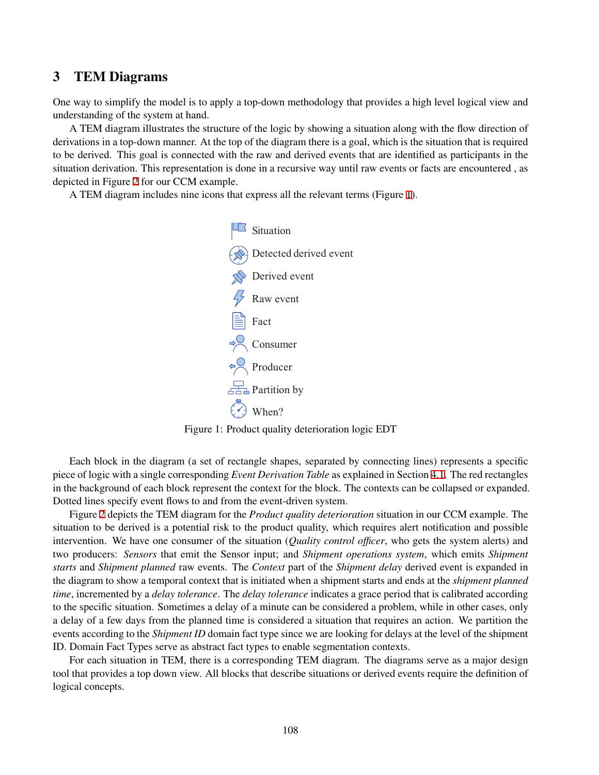## <span id="page-3-0"></span>3 TEM Diagrams

One way to simplify the model is to apply a top-down methodology that provides a high level logical view and understanding of the system at hand.

A TEM diagram illustrates the structure of the logic by showing a situation along with the flow direction of derivations in a top-down manner. At the top of the diagram there is a goal, which is the situation that is required to be derived. This goal is connected with the raw and derived events that are identified as participants in the situation derivation. This representation is done in a recursive way until raw events or facts are encountered , as depicted in Figure [2](#page-4-1) for our CCM example.

<span id="page-3-1"></span>A TEM diagram includes nine icons that express all the relevant terms (Figure [1\)](#page-3-1).



Figure 1: Product quality deterioration logic EDT

Each block in the diagram (a set of rectangle shapes, separated by connecting lines) represents a specific piece of logic with a single corresponding *Event Derivation Table* as explained in Section [4.1](#page-4-2). The red rectangles in the background of each block represent the context for the block. The contexts can be collapsed or expanded. Dotted lines specify event flows to and from the event-driven system.

Figure [2](#page-4-1) depicts the TEM diagram for the *Product quality deterioration* situation in our CCM example. The situation to be derived is a potential risk to the product quality, which requires alert notification and possible intervention. We have one consumer of the situation (*Quality control o*ffi*cer*, who gets the system alerts) and two producers: *Sensors* that emit the Sensor input; and *Shipment operations system*, which emits *Shipment starts* and *Shipment planned* raw events. The *Context* part of the *Shipment delay* derived event is expanded in the diagram to show a temporal context that is initiated when a shipment starts and ends at the *shipment planned time*, incremented by a *delay tolerance*. The *delay tolerance* indicates a grace period that is calibrated according to the specific situation. Sometimes a delay of a minute can be considered a problem, while in other cases, only a delay of a few days from the planned time is considered a situation that requires an action. We partition the events according to the *Shipment ID* domain fact type since we are looking for delays at the level of the shipment ID. Domain Fact Types serve as abstract fact types to enable segmentation contexts.

For each situation in TEM, there is a corresponding TEM diagram. The diagrams serve as a major design tool that provides a top down view. All blocks that describe situations or derived events require the definition of logical concepts.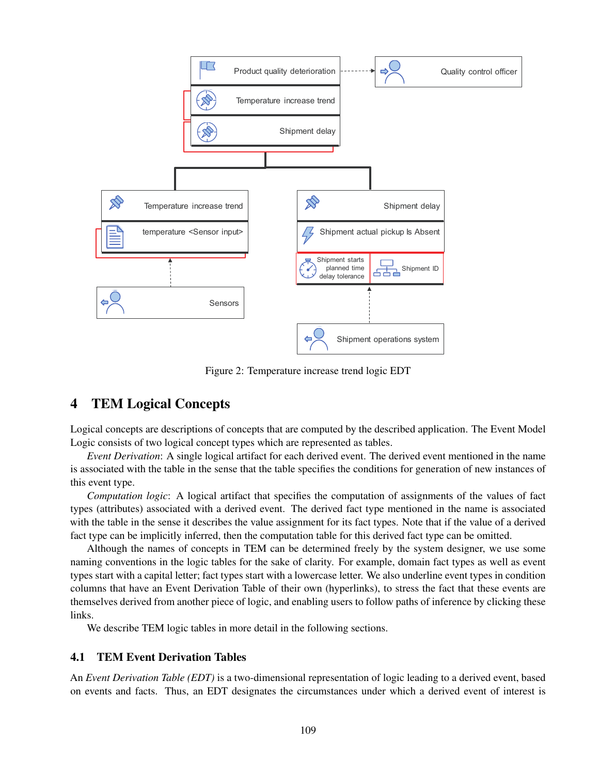<span id="page-4-1"></span>

Figure 2: Temperature increase trend logic EDT

## <span id="page-4-0"></span>4 TEM Logical Concepts

Logical concepts are descriptions of concepts that are computed by the described application. The Event Model Logic consists of two logical concept types which are represented as tables.

*Event Derivation*: A single logical artifact for each derived event. The derived event mentioned in the name is associated with the table in the sense that the table specifies the conditions for generation of new instances of this event type.

*Computation logic*: A logical artifact that specifies the computation of assignments of the values of fact types (attributes) associated with a derived event. The derived fact type mentioned in the name is associated with the table in the sense it describes the value assignment for its fact types. Note that if the value of a derived fact type can be implicitly inferred, then the computation table for this derived fact type can be omitted.

Although the names of concepts in TEM can be determined freely by the system designer, we use some naming conventions in the logic tables for the sake of clarity. For example, domain fact types as well as event types start with a capital letter; fact types start with a lowercase letter. We also underline event types in condition columns that have an Event Derivation Table of their own (hyperlinks), to stress the fact that these events are themselves derived from another piece of logic, and enabling users to follow paths of inference by clicking these links.

We describe TEM logic tables in more detail in the following sections.

#### <span id="page-4-2"></span>4.1 TEM Event Derivation Tables

An *Event Derivation Table (EDT)* is a two-dimensional representation of logic leading to a derived event, based on events and facts. Thus, an EDT designates the circumstances under which a derived event of interest is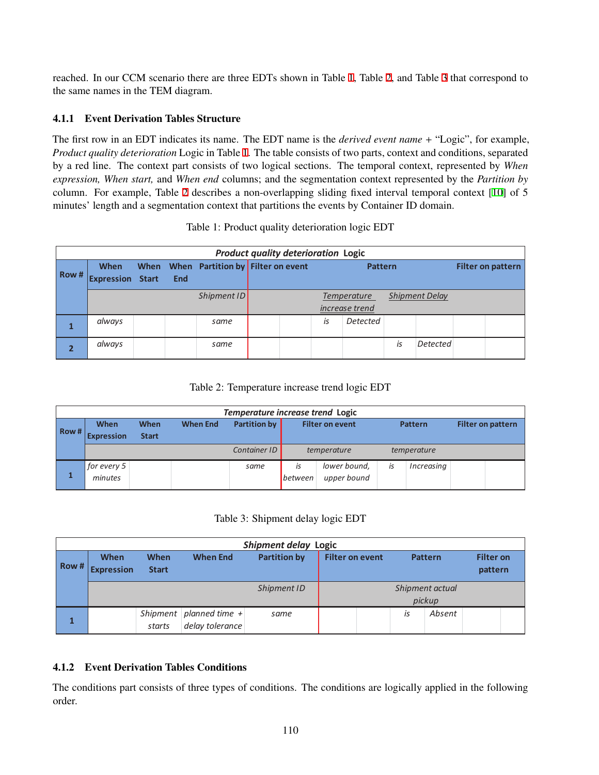reached. In our CCM scenario there are three EDTs shown in Table [1,](#page-5-0) Table [2](#page-5-1), and Table [3](#page-5-2) that correspond to the same names in the TEM diagram.

### 4.1.1 Event Derivation Tables Structure

The first row in an EDT indicates its name. The EDT name is the *derived event name* + "Logic", for example, *Product quality deterioration* Logic in Table [1.](#page-5-0) The table consists of two parts, context and conditions, separated by a red line. The context part consists of two logical sections. The temporal context, represented by *When expression, When start,* and *When end* columns; and the segmentation context represented by the *Partition by* column. For example, Table [2](#page-5-1) describes a non-overlapping sliding fixed interval temporal context [\[10](#page-10-4)] of 5 minutes' length and a segmentation context that partitions the events by Container ID domain.

<span id="page-5-0"></span>

|       | <b>Product quality deterioration Logic</b> |  |     |                                        |  |  |                |                                             |    |                          |  |
|-------|--------------------------------------------|--|-----|----------------------------------------|--|--|----------------|---------------------------------------------|----|--------------------------|--|
| Row # | <b>When</b><br><b>Expression Start</b>     |  | End | When When Partition by Filter on event |  |  | <b>Pattern</b> |                                             |    | <b>Filter on pattern</b> |  |
|       |                                            |  |     | Shipment ID                            |  |  |                | <b>Temperature</b><br><i>increase</i> trend |    | <b>Shipment Delay</b>    |  |
|       | always                                     |  |     | same                                   |  |  | IS             | <b>Detected</b>                             |    |                          |  |
|       | always                                     |  |     | same                                   |  |  |                |                                             | İS | <b>Detected</b>          |  |

|  |  |  |  | Table 1: Product quality deterioration logic EDT |  |  |
|--|--|--|--|--------------------------------------------------|--|--|
|--|--|--|--|--------------------------------------------------|--|--|

### Table 2: Temperature increase trend logic EDT

<span id="page-5-1"></span>

|      | Temperature increase trend Logic |                      |                 |                     |                        |                             |    |                |  |                          |
|------|----------------------------------|----------------------|-----------------|---------------------|------------------------|-----------------------------|----|----------------|--|--------------------------|
| Row# | When<br><b>Expression</b>        | When<br><b>Start</b> | <b>When End</b> | <b>Partition by</b> | <b>Filter on event</b> |                             |    | <b>Pattern</b> |  | <b>Filter on pattern</b> |
|      |                                  |                      |                 | Container ID        |                        | temperature                 |    | temperature    |  |                          |
|      | for every 5<br>minutes           |                      |                 | same                | İS<br><b>between</b>   | lower bound,<br>upper bound | İS | Increasing     |  |                          |

Table 3: Shipment delay logic EDT

<span id="page-5-2"></span>

|      | Shipment delay Logic             |                      |                           |                     |                        |    |                           |                             |  |
|------|----------------------------------|----------------------|---------------------------|---------------------|------------------------|----|---------------------------|-----------------------------|--|
| Row# | <b>When</b><br><b>Expression</b> | When<br><b>Start</b> | <b>When End</b>           | <b>Partition by</b> | <b>Filter on event</b> |    | <b>Pattern</b>            | <b>Filter on</b><br>pattern |  |
|      |                                  |                      |                           | Shipment ID         |                        |    | Shipment actual<br>pickup |                             |  |
|      |                                  |                      | Shipment planned time $+$ | same                |                        | İS | Absent                    |                             |  |
|      |                                  | starts               | delay tolerance           |                     |                        |    |                           |                             |  |

### 4.1.2 Event Derivation Tables Conditions

The conditions part consists of three types of conditions. The conditions are logically applied in the following order.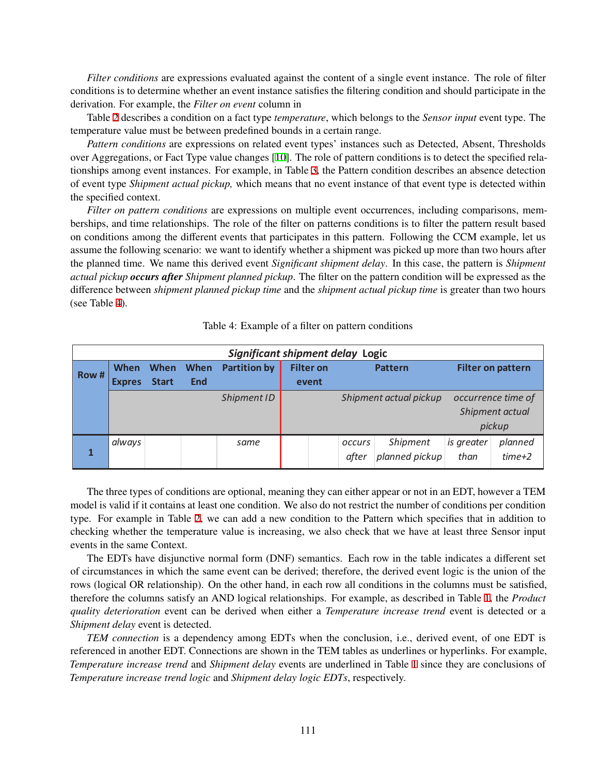*Filter conditions* are expressions evaluated against the content of a single event instance. The role of filter conditions is to determine whether an event instance satisfies the filtering condition and should participate in the derivation. For example, the *Filter on event* column in

Table [2](#page-5-1) describes a condition on a fact type *temperature*, which belongs to the *Sensor input* event type. The temperature value must be between predefined bounds in a certain range.

*Pattern conditions* are expressions on related event types' instances such as Detected, Absent, Thresholds over Aggregations, or Fact Type value changes [\[10](#page-10-4)]. The role of pattern conditions is to detect the specified relationships among event instances. For example, in Table [3](#page-5-2), the Pattern condition describes an absence detection of event type *Shipment actual pickup,* which means that no event instance of that event type is detected within the specified context.

*Filter on pattern conditions* are expressions on multiple event occurrences, including comparisons, memberships, and time relationships. The role of the filter on patterns conditions is to filter the pattern result based on conditions among the different events that participates in this pattern. Following the CCM example, let us assume the following scenario: we want to identify whether a shipment was picked up more than two hours after the planned time. We name this derived event *Significant shipment delay*. In this case, the pattern is *Shipment actual pickup occurs after Shipment planned pickup*. The filter on the pattern condition will be expressed as the difference between *shipment planned pickup time* and the *shipment actual pickup time* is greater than two hours (see Table [4](#page-6-0)).

<span id="page-6-0"></span>

|       | Significant shipment delay Logic |              |             |                     |                                    |  |               |                          |            |                    |
|-------|----------------------------------|--------------|-------------|---------------------|------------------------------------|--|---------------|--------------------------|------------|--------------------|
| Row # | When                             | <b>When</b>  | <b>When</b> | <b>Partition by</b> | <b>Filter on</b><br><b>Pattern</b> |  |               | <b>Filter on pattern</b> |            |                    |
|       | <b>Expres</b>                    | <b>Start</b> | <b>End</b>  |                     | event                              |  |               |                          |            |                    |
|       |                                  |              |             | Shipment ID         |                                    |  |               | Shipment actual pickup   |            | occurrence time of |
|       |                                  |              |             |                     |                                    |  |               |                          |            | Shipment actual    |
|       |                                  |              |             |                     |                                    |  |               |                          |            | pickup             |
|       | always                           |              |             | same                |                                    |  | <b>OCCULS</b> | Shipment                 | is greater | planned            |
|       |                                  |              |             |                     |                                    |  | after         | planned pickup           | than       | $time+2$           |

#### Table 4: Example of a filter on pattern conditions

The three types of conditions are optional, meaning they can either appear or not in an EDT, however a TEM model is valid if it contains at least one condition. We also do not restrict the number of conditions per condition type. For example in Table [2,](#page-5-1) we can add a new condition to the Pattern which specifies that in addition to checking whether the temperature value is increasing, we also check that we have at least three Sensor input events in the same Context.

The EDTs have disjunctive normal form (DNF) semantics. Each row in the table indicates a different set of circumstances in which the same event can be derived; therefore, the derived event logic is the union of the rows (logical OR relationship). On the other hand, in each row all conditions in the columns must be satisfied, therefore the columns satisfy an AND logical relationships. For example, as described in Table [1,](#page-5-0) the *Product quality deterioration* event can be derived when either a *Temperature increase trend* event is detected or a *Shipment delay* event is detected.

*TEM connection* is a dependency among EDTs when the conclusion, i.e., derived event, of one EDT is referenced in another EDT. Connections are shown in the TEM tables as underlines or hyperlinks. For example, *Temperature increase trend* and *Shipment delay* events are underlined in Table [1](#page-5-0) since they are conclusions of *Temperature increase trend logic* and *Shipment delay logic EDTs*, respectively.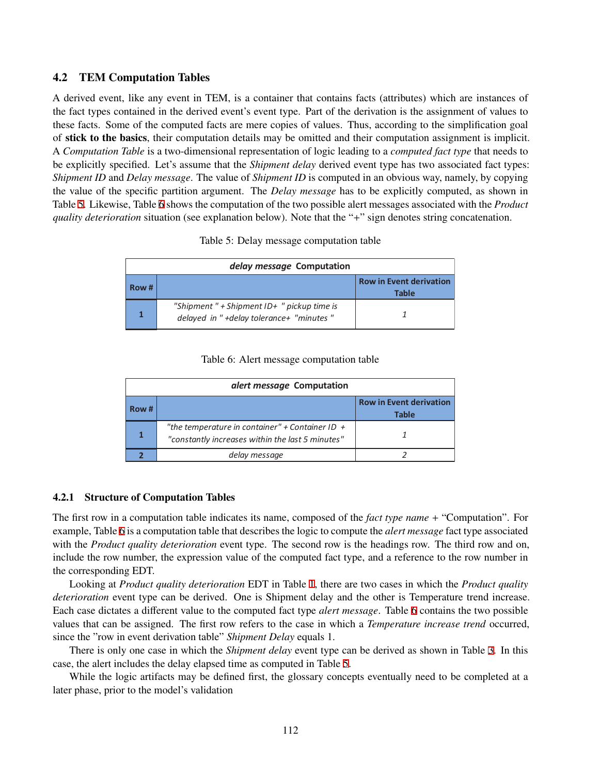#### 4.2 TEM Computation Tables

A derived event, like any event in TEM, is a container that contains facts (attributes) which are instances of the fact types contained in the derived event's event type. Part of the derivation is the assignment of values to these facts. Some of the computed facts are mere copies of values. Thus, according to the simplification goal of stick to the basics, their computation details may be omitted and their computation assignment is implicit. A *Computation Table* is a two-dimensional representation of logic leading to a *computed fact type* that needs to be explicitly specified. Let's assume that the *Shipment delay* derived event type has two associated fact types: *Shipment ID* and *Delay message*. The value of *Shipment ID* is computed in an obvious way, namely, by copying the value of the specific partition argument. The *Delay message* has to be explicitly computed, as shown in Table [5](#page-7-0). Likewise, Table [6](#page-7-1) shows the computation of the two possible alert messages associated with the *Product quality deterioration* situation (see explanation below). Note that the "+" sign denotes string concatenation.

|  |  |  | Table 5: Delay message computation table |  |
|--|--|--|------------------------------------------|--|
|--|--|--|------------------------------------------|--|

<span id="page-7-0"></span>

|      | delay message Computation                                                               |                                                |  |  |  |  |
|------|-----------------------------------------------------------------------------------------|------------------------------------------------|--|--|--|--|
| Row# |                                                                                         | <b>Row in Event derivation</b><br><b>Table</b> |  |  |  |  |
|      | "Shipment" + Shipment $ID+$ " pickup time is<br>delayed in "+delay tolerance+ "minutes" |                                                |  |  |  |  |

|  |  | Table 6: Alert message computation table |  |
|--|--|------------------------------------------|--|
|--|--|------------------------------------------|--|

<span id="page-7-1"></span>

|      | <i>alert message</i> Computation                                                                    |                                         |  |  |  |  |  |
|------|-----------------------------------------------------------------------------------------------------|-----------------------------------------|--|--|--|--|--|
| Row# |                                                                                                     | <b>Row in Event derivation</b><br>Table |  |  |  |  |  |
|      | "the temperature in container" + Container ID +<br>"constantly increases within the last 5 minutes" |                                         |  |  |  |  |  |
|      | delay message                                                                                       |                                         |  |  |  |  |  |

#### 4.2.1 Structure of Computation Tables

The first row in a computation table indicates its name, composed of the *fact type name* + "Computation". For example, Table [6](#page-7-1) is a computation table that describes the logic to compute the *alert message* fact type associated with the *Product quality deterioration* event type. The second row is the headings row. The third row and on, include the row number, the expression value of the computed fact type, and a reference to the row number in the corresponding EDT.

Looking at *Product quality deterioration* EDT in Table [1,](#page-5-0) there are two cases in which the *Product quality deterioration* event type can be derived. One is Shipment delay and the other is Temperature trend increase. Each case dictates a different value to the computed fact type *alert message*. Table [6](#page-7-1) contains the two possible values that can be assigned. The first row refers to the case in which a *Temperature increase trend* occurred, since the "row in event derivation table" *Shipment Delay* equals 1.

There is only one case in which the *Shipment delay* event type can be derived as shown in Table [3.](#page-5-2) In this case, the alert includes the delay elapsed time as computed in Table [5](#page-7-0).

While the logic artifacts may be defined first, the glossary concepts eventually need to be completed at a later phase, prior to the model's validation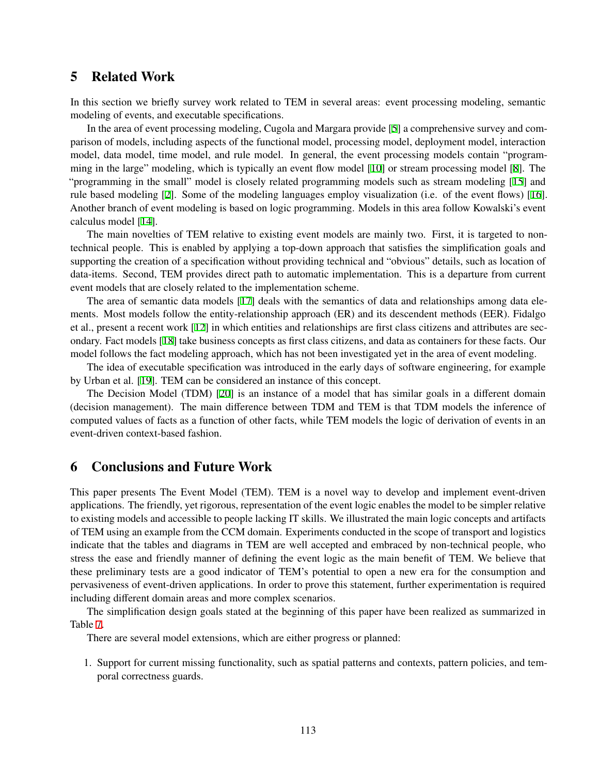## 5 Related Work

In this section we briefly survey work related to TEM in several areas: event processing modeling, semantic modeling of events, and executable specifications.

In the area of event processing modeling, Cugola and Margara provide [[5](#page-10-5)] a comprehensive survey and comparison of models, including aspects of the functional model, processing model, deployment model, interaction model, data model, time model, and rule model. In general, the event processing models contain "programming in the large" modeling, which is typically an event flow model [\[10](#page-10-4)] or stream processing model [[8](#page-10-6)]. The "programming in the small" model is closely related programming models such as stream modeling [\[15](#page-10-7)] and rule based modeling [[2](#page-9-2)]. Some of the modeling languages employ visualization (i.e. of the event flows) [[16\]](#page-10-8). Another branch of event modeling is based on logic programming. Models in this area follow Kowalski's event calculus model [\[14](#page-10-9)].

The main novelties of TEM relative to existing event models are mainly two. First, it is targeted to nontechnical people. This is enabled by applying a top-down approach that satisfies the simplification goals and supporting the creation of a specification without providing technical and "obvious" details, such as location of data-items. Second, TEM provides direct path to automatic implementation. This is a departure from current event models that are closely related to the implementation scheme.

The area of semantic data models [\[17\]](#page-10-10) deals with the semantics of data and relationships among data elements. Most models follow the entity-relationship approach (ER) and its descendent methods (EER). Fidalgo et al., present a recent work [[12\]](#page-10-3) in which entities and relationships are first class citizens and attributes are secondary. Fact models [\[18](#page-10-11)] take business concepts as first class citizens, and data as containers for these facts. Our model follows the fact modeling approach, which has not been investigated yet in the area of event modeling.

The idea of executable specification was introduced in the early days of software engineering, for example by Urban et al. [[19\]](#page-10-12). TEM can be considered an instance of this concept.

The Decision Model (TDM) [[20\]](#page-10-0) is an instance of a model that has similar goals in a different domain (decision management). The main difference between TDM and TEM is that TDM models the inference of computed values of facts as a function of other facts, while TEM models the logic of derivation of events in an event-driven context-based fashion.

### 6 Conclusions and Future Work

This paper presents The Event Model (TEM). TEM is a novel way to develop and implement event-driven applications. The friendly, yet rigorous, representation of the event logic enables the model to be simpler relative to existing models and accessible to people lacking IT skills. We illustrated the main logic concepts and artifacts of TEM using an example from the CCM domain. Experiments conducted in the scope of transport and logistics indicate that the tables and diagrams in TEM are well accepted and embraced by non-technical people, who stress the ease and friendly manner of defining the event logic as the main benefit of TEM. We believe that these preliminary tests are a good indicator of TEM's potential to open a new era for the consumption and pervasiveness of event-driven applications. In order to prove this statement, further experimentation is required including different domain areas and more complex scenarios.

The simplification design goals stated at the beginning of this paper have been realized as summarized in Table [7.](#page-9-3)

There are several model extensions, which are either progress or planned:

1. Support for current missing functionality, such as spatial patterns and contexts, pattern policies, and temporal correctness guards.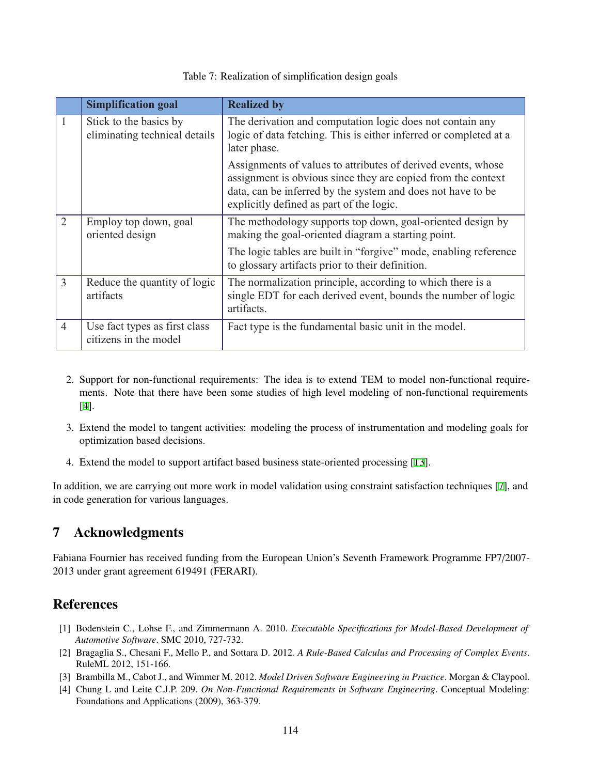<span id="page-9-3"></span>

|                | <b>Simplification goal</b>                              | <b>Realized by</b>                                                                                                                                                                                                                      |
|----------------|---------------------------------------------------------|-----------------------------------------------------------------------------------------------------------------------------------------------------------------------------------------------------------------------------------------|
| 1              | Stick to the basics by<br>eliminating technical details | The derivation and computation logic does not contain any<br>logic of data fetching. This is either inferred or completed at a<br>later phase.                                                                                          |
|                |                                                         | Assignments of values to attributes of derived events, whose<br>assignment is obvious since they are copied from the context<br>data, can be inferred by the system and does not have to be<br>explicitly defined as part of the logic. |
| $\overline{2}$ | Employ top down, goal<br>oriented design                | The methodology supports top down, goal-oriented design by<br>making the goal-oriented diagram a starting point.                                                                                                                        |
|                |                                                         | The logic tables are built in "forgive" mode, enabling reference<br>to glossary artifacts prior to their definition.                                                                                                                    |
| 3              | Reduce the quantity of logic<br>artifacts               | The normalization principle, according to which there is a<br>single EDT for each derived event, bounds the number of logic<br>artifacts.                                                                                               |
| $\overline{4}$ | Use fact types as first class<br>citizens in the model  | Fact type is the fundamental basic unit in the model.                                                                                                                                                                                   |

#### Table 7: Realization of simplification design goals

- 2. Support for non-functional requirements: The idea is to extend TEM to model non-functional requirements. Note that there have been some studies of high level modeling of non-functional requirements [[4](#page-9-4)].
- 3. Extend the model to tangent activities: modeling the process of instrumentation and modeling goals for optimization based decisions.
- 4. Extend the model to support artifact based business state-oriented processing [\[13](#page-10-13)].

In addition, we are carrying out more work in model validation using constraint satisfaction techniques [[7](#page-10-14)], and in code generation for various languages.

## 7 Acknowledgments

Fabiana Fournier has received funding from the European Union's Seventh Framework Programme FP7/2007- 2013 under grant agreement 619491 (FERARI).

## **References**

- <span id="page-9-0"></span>[1] Bodenstein C., Lohse F., and Zimmermann A. 2010. *Executable Specifications for Model-Based Development of Automotive Software*. SMC 2010, 727-732.
- <span id="page-9-2"></span>[2] Bragaglia S., Chesani F., Mello P., and Sottara D. 2012*. A Rule-Based Calculus and Processing of Complex Events*. RuleML 2012, 151-166.
- <span id="page-9-1"></span>[3] Brambilla M., Cabot J., and Wimmer M. 2012. *Model Driven Software Engineering in Practice*. Morgan & Claypool.
- <span id="page-9-4"></span>[4] Chung L and Leite C.J.P. 209. *On Non-Functional Requirements in Software Engineering*. Conceptual Modeling: Foundations and Applications (2009), 363-379.